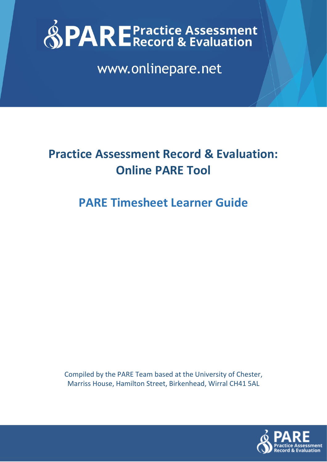

www.onlinepare.net

# **Practice Assessment Record & Evaluation: Online PARE Tool**

## **PARE Timesheet Learner Guide**

Compiled by the PARE Team based at the University of Chester, Marriss House, Hamilton Street, Birkenhead, Wirral CH41 5AL

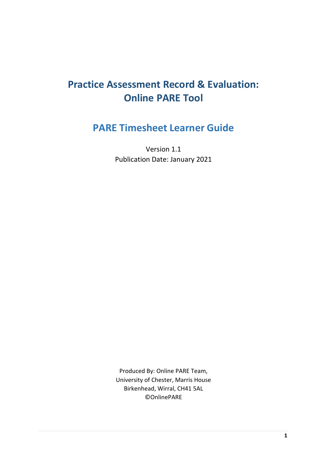## **Practice Assessment Record & Evaluation: Online PARE Tool**

## **PARE Timesheet Learner Guide**

Version 1.1 Publication Date: January 2021

Produced By: Online PARE Team, University of Chester, Marris House Birkenhead, Wirral, CH41 5AL ©OnlinePARE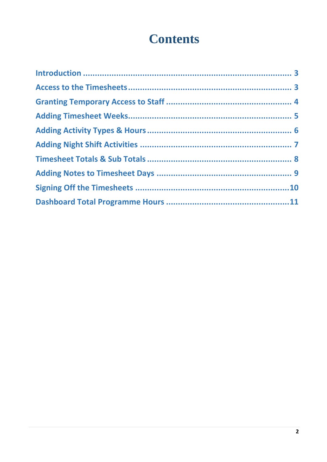# **Contents**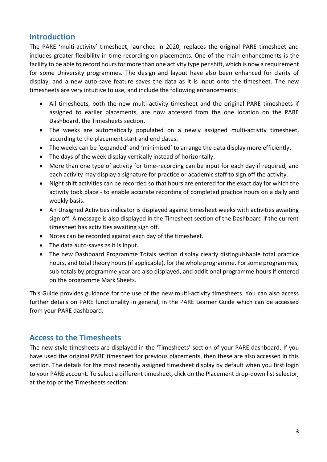### <span id="page-3-0"></span>**Introduction**

The PARE 'multi-activity' timesheet, launched in 2020, replaces the original PARE timesheet and includes greater flexibility in time recording on placements. One of the main enhancements is the facility to be able to record hours for more than one activity type per shift, which is now a requirement for some University programmes. The design and layout have also been enhanced for clarity of display, and a new auto-save feature saves the data as it is input onto the timesheet. The new timesheets are very intuitive to use, and include the following enhancements:

- All timesheets, both the new multi-activity timesheet and the original PARE timesheets if assigned to earlier placements, are now accessed from the one location on the PARE Dashboard, the Timesheets section.
- The weeks are automatically populated on a newly assigned multi-activity timesheet, according to the placement start and end dates.
- The weeks can be 'expanded' and 'minimised' to arrange the data display more efficiently.
- The days of the week display vertically instead of horizontally.
- More than one type of activity for time-recording can be input for each day if required, and each activity may display a signature for practice or academic staff to sign off the activity.
- Night shift activities can be recorded so that hours are entered for the exact day for which the activity took place - to enable accurate recording of completed practice hours on a daily and weekly basis.
- An Unsigned Activities indicator is displayed against timesheet weeks with activities awaiting sign off. A message is also displayed in the Timesheet section of the Dashboard if the current timesheet has activities awaiting sign off.
- Notes can be recorded against each day of the timesheet.
- The data auto-saves as it is input.
- The new Dashboard Programme Totals section display clearly distinguishable total practice hours, and total theory hours (if applicable), for the whole programme. For some programmes, sub-totals by programme year are also displayed, and additional programme hours if entered on the programme Mark Sheets.

This Guide provides guidance for the use of the new multi-activity timesheets. You can also access further details on PARE functionality in general, in the PARE Learner Guide which can be accessed from your PARE dashboard.

### <span id="page-3-1"></span>**Access to the Timesheets**

The new style timesheets are displayed in the 'Timesheets' section of your PARE dashboard. If you have used the original PARE timesheet for previous placements, then these are also accessed in this section. The details for the most recently assigned timesheet display by default when you first login to your PARE account. To select a different timesheet, click on the Placement drop-down list selector, at the top of the Timesheets section: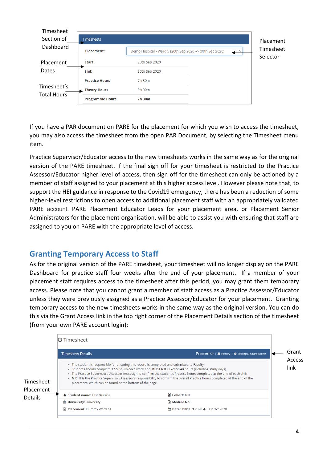| Timesheet          |                        |                                                         |                          |                       |
|--------------------|------------------------|---------------------------------------------------------|--------------------------|-----------------------|
| Section of         | <b>Timesheets</b>      |                                                         |                          | Placement             |
| Dashboard          | <b>Placement:</b>      | Demo Hospital - Ward 5 (20th Sep 2020 => 30th Sep 2020) | $\overline{\phantom{a}}$ | Timesheet<br>Selector |
| Placement          | Start:                 | 20th Sep 2020                                           |                          |                       |
| Dates              | End:                   | 30th Sep 2020                                           |                          |                       |
|                    | <b>Practice Hours</b>  | 7h 30m                                                  |                          |                       |
| Timesheet's        | <b>Theory Hours</b>    | 0h 00m                                                  |                          |                       |
| <b>Total Hours</b> | <b>Programme Hours</b> | 7h 30m                                                  |                          |                       |

If you have a PAR document on PARE for the placement for which you wish to access the timesheet, you may also access the timesheet from the open PAR Document, by selecting the Timesheet menu item.

Practice Supervisor/Educator access to the new timesheets works in the same way as for the original version of the PARE timesheet. If the final sign off for your timesheet is restricted to the Practice Assessor/Educator higher level of access, then sign off for the timesheet can only be actioned by a member of staff assigned to your placement at this higher access level. However please note that, to support the HEI guidance in response to the Covid19 emergency, there has been a reduction of some higher-level restrictions to open access to additional placement staff with an appropriately validated PARE account. PARE Placement Educator Leads for your placement area, or Placement Senior Administrators for the placement organisation, will be able to assist you with ensuring that staff are assigned to you on PARE with the appropriate level of access.

## <span id="page-4-0"></span>**Granting Temporary Access to Staff**

As for the original version of the PARE timesheet, your timesheet will no longer display on the PARE Dashboard for practice staff four weeks after the end of your placement. If a member of your placement staff requires access to the timesheet after this period, you may grant them temporary access. Please note that you cannot grant a member of staff access as a Practice Assessor/Educator unless they were previously assigned as a Practice Assessor/Educator for your placement. Granting temporary access to the new timesheets works in the same way as the original version. You can do this via the Grant Access link in the top right corner of the Placement Details section of the timesheet (from your own PARE account login):

|                             | <b>O</b> Timesheet                                                                                                                                                                                                                                                                                                                                                                                                                                                                                                             |                                                                              |       |
|-----------------------------|--------------------------------------------------------------------------------------------------------------------------------------------------------------------------------------------------------------------------------------------------------------------------------------------------------------------------------------------------------------------------------------------------------------------------------------------------------------------------------------------------------------------------------|------------------------------------------------------------------------------|-------|
|                             | <b>Timesheet Details</b>                                                                                                                                                                                                                                                                                                                                                                                                                                                                                                       | <b>A</b> Export PDF   <i>A</i> History   $\clubsuit$ Settings / Grant Access | Grant |
| Timesheet                   | • The student is responsible for ensuring this record is completed and submitted to Faculty<br>• Students should complete 37.5 hours each week and MUST NOT exceed 48 hours (including study days)<br>• The Practice Supervisor / Assessor must sign to confirm the student's Practice hours completed at the end of each shift<br>. N.B. It is the Practice Supervisor/Assessor's responsibility to confirm the overall Practice hours completed at the end of the<br>placement, which can be found at the bottom of the page | Access<br>link                                                               |       |
| Placement<br><b>Details</b> | <b>&amp; Student name: Test Nursing</b>                                                                                                                                                                                                                                                                                                                                                                                                                                                                                        | 쌀 Cohort: test                                                               |       |
|                             | <b>血 University: University</b>                                                                                                                                                                                                                                                                                                                                                                                                                                                                                                | <b>■ Module No:</b>                                                          |       |
|                             | Placement: Dummy Ward A1                                                                                                                                                                                                                                                                                                                                                                                                                                                                                                       | <b>m Date:</b> 19th Oct 2020 → 31st Oct 2020                                 |       |
|                             |                                                                                                                                                                                                                                                                                                                                                                                                                                                                                                                                |                                                                              |       |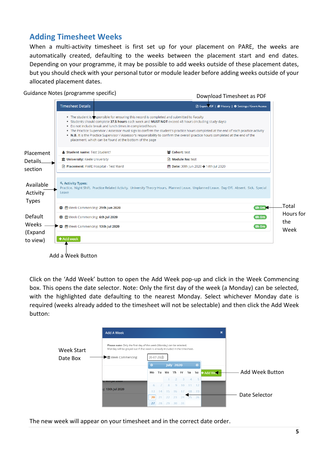## <span id="page-5-0"></span>**Adding Timesheet Weeks**

When a multi-activity timesheet is first set up for your placement on PARE, the weeks are automatically created, defaulting to the weeks between the placement start and end dates. Depending on your programme, it may be possible to add weeks outside of these placement dates, but you should check with your personal tutor or module leader before adding weeks outside of your allocated placement dates.

#### Guidance Notes (programme specific)

Download Timesheet as PDF

|                       | <b>Timesheet Details</b>                  |                                                                                                                      |                                                                                                                                                                                                                                                                                                                                                                                                                                                                                   | <b>A</b> Export PDF   <b>A</b> History   $\Phi$ Settings / Grant Access |
|-----------------------|-------------------------------------------|----------------------------------------------------------------------------------------------------------------------|-----------------------------------------------------------------------------------------------------------------------------------------------------------------------------------------------------------------------------------------------------------------------------------------------------------------------------------------------------------------------------------------------------------------------------------------------------------------------------------|-------------------------------------------------------------------------|
|                       |                                           | . Do not include break and lunch times in completed hours<br>placement, which can be found at the bottom of the page | . The student is assponsible for ensuring this record is completed and submitted to Faculty<br>. Students should complete 37.5 hours each week and MUST NOT exceed 48 hours (including study days)<br>. The Practice Supervisor / Assessor must sign to confirm the student's practice hours completed at the end of each practice activity<br>. N.B. It is the Practice Supervisor / Assessor's responsibility to confirm the overall practice hours completed at the end of the |                                                                         |
| Placement             | <b>&amp; Student name: Test Student1</b>  |                                                                                                                      | 쌀 Cohort: test                                                                                                                                                                                                                                                                                                                                                                                                                                                                    |                                                                         |
| Details.              | <b>Im University:</b> Keele University    |                                                                                                                      | ■ <b>Module No:</b> test                                                                                                                                                                                                                                                                                                                                                                                                                                                          |                                                                         |
| section               | Placement: PARE Hospital - Test Ward      |                                                                                                                      | the Date: 30th Jun 2020 → 14th Jul 2020                                                                                                                                                                                                                                                                                                                                                                                                                                           |                                                                         |
| Available<br>Activity | Q <sub>s</sub> Activity Types:<br>Leave   |                                                                                                                      | Practice, Night Shift, Practice Related Activity, University Theory Hours, Planned Leave, Unplanned Leave, Day Off, Absent, Sick, Special                                                                                                                                                                                                                                                                                                                                         |                                                                         |
| <b>Types</b>          | ■ 巤 Week Commencing: 29th Jun 2020        |                                                                                                                      |                                                                                                                                                                                                                                                                                                                                                                                                                                                                                   | $0h$ Om $\geq$                                                          |
| Default               | <b>■ 篇</b> Week Commencing: 6th Jul 2020  |                                                                                                                      |                                                                                                                                                                                                                                                                                                                                                                                                                                                                                   | Oh Om                                                                   |
| Weeks                 | <b>■ 普</b> Week Commencing: 13th Jul 2020 |                                                                                                                      |                                                                                                                                                                                                                                                                                                                                                                                                                                                                                   | oh om                                                                   |
| (Expand               |                                           |                                                                                                                      |                                                                                                                                                                                                                                                                                                                                                                                                                                                                                   |                                                                         |
| to view)              | + Add week                                |                                                                                                                      |                                                                                                                                                                                                                                                                                                                                                                                                                                                                                   |                                                                         |
|                       |                                           |                                                                                                                      |                                                                                                                                                                                                                                                                                                                                                                                                                                                                                   |                                                                         |

Add a Week Button

Click on the 'Add Week' button to open the Add Week pop-up and click in the Week Commencing box. This opens the date selector. Note: Only the first day of the week (a Monday) can be selected, with the highlighted date defaulting to the nearest Monday. Select whichever Monday date is required (weeks already added to the timesheet will not be selectable) and then click the Add Week button:



The new week will appear on your timesheet and in the correct date order.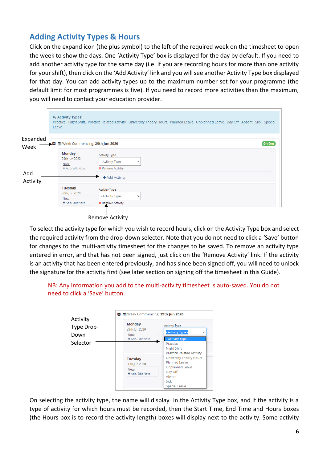## <span id="page-6-0"></span>**Adding Activity Types & Hours**

Click on the expand icon (the plus symbol) to the left of the required week on the timesheet to open the week to show the days. One 'Activity Type' box is displayed for the day by default. If you need to add another activity type for the same day (i.e. if you are recording hours for more than one activity for your shift), then click on the 'Add Activity' link and you will see another Activity Type box displayed for that day. You can add activity types up to the maximum number set for your programme (the default limit for most programmes is five). If you need to record more activities than the maximum, you will need to contact your education provider.

|          | Q <sub>s</sub> Activity Types:<br>Leave | Practice, Night Shift, Practice Related Activity, University Theory Hours, Planned Leave, Unplanned Leave, Day Off, Absent, Sick, Special |
|----------|-----------------------------------------|-------------------------------------------------------------------------------------------------------------------------------------------|
| Expanded |                                         | $Oh om$<br>■ till Week Commencing: 29th Jun 2020                                                                                          |
| Week     |                                         |                                                                                                                                           |
|          | <b>Monday</b><br>29th Jun 2020          | <b>Activity Type</b>                                                                                                                      |
|          | Note:<br>+ Add/Edit Note                | - Activity Type -<br>$\checkmark$<br><b>*</b> Remove Activity                                                                             |
| Add      |                                         | + Add Activity                                                                                                                            |
| Activity |                                         |                                                                                                                                           |
|          | <b>Tuesday</b><br>30th Jun 2020         | <b>Activity Type</b>                                                                                                                      |
|          | Note:<br>+ Add/Edit Note                | - Activity Type -<br>$\checkmark$<br><b>*</b> Remove Activity                                                                             |

Remove Activity

To select the activity type for which you wish to record hours, click on the Activity Type box and select the required activity from the drop-down selector. Note that you do not need to click a 'Save' button for changes to the multi-activity timesheet for the changes to be saved. To remove an activity type entered in error, and that has not been signed, just click on the 'Remove Activity' link. If the activity is an activity that has been entered previously, and has since been signed off, you will need to unlock the signature for the activity first (see later section on signing off the timesheet in this Guide).

NB: Any information you add to the multi-activity timesheet is auto-saved. You do not need to click a 'Save' button.



On selecting the activity type, the name will display in the Activity Type box, and if the activity is a type of activity for which hours must be recorded, then the Start Time, End Time and Hours boxes (the Hours box is to record the activity length) boxes will display next to the activity. Some activity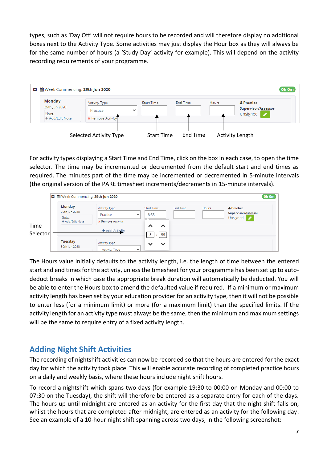types, such as 'Day Off' will not require hours to be recorded and will therefore display no additional boxes next to the Activity Type. Some activities may just display the Hour box as they will always be for the same number of hours (a 'Study Day' activity for example). This will depend on the activity recording requirements of your programme.



For activity types displaying a Start Time and End Time, click on the box in each case, to open the time selector. The time may be incremented or decremented from the default start and end times as required. The minutes part of the time may be incremented or decremented in 5-minute intervals (the original version of the PARE timesheet increments/decrements in 15-minute intervals).

|                  | ■ @ Week Commencing: 29th Jun 2020        |                                            |              |                              |                 |       |                                                           | Oh Om |
|------------------|-------------------------------------------|--------------------------------------------|--------------|------------------------------|-----------------|-------|-----------------------------------------------------------|-------|
| Time<br>Selector | Monday<br>29th Jun 2020<br>Note:          | <b>Activity Type</b><br>Practice           | $\checkmark$ | <b>Start Time</b><br>8:55    | <b>End Time</b> | Hours | & Practice<br><b>Supervisor/Assessor</b><br>Unsigned<br>Í |       |
|                  | + Add/Edit Note                           | <b>*</b> Remove Activity<br>+ Add Activity |              | ㅅ<br>∧<br>55<br>8            |                 |       |                                                           |       |
|                  | <b>Tuesday</b><br>30th Jun 2020<br>$\sim$ | <b>Activity Type</b><br>- Activity Type -  | $\checkmark$ | $\checkmark$<br>$\checkmark$ |                 |       |                                                           |       |

The Hours value initially defaults to the activity length, i.e. the length of time between the entered start and end times for the activity, unless the timesheet for your programme has been set up to autodeduct breaks in which case the appropriate break duration will automatically be deducted. You will be able to enter the Hours box to amend the defaulted value if required. If a minimum or maximum activity length has been set by your education provider for an activity type, then it will not be possible to enter less (for a minimum limit) or more (for a maximum limit) than the specified limits. If the activity length for an activity type must always be the same, then the minimum and maximum settings will be the same to require entry of a fixed activity length.

## <span id="page-7-0"></span>**Adding Night Shift Activities**

The recording of nightshift activities can now be recorded so that the hours are entered for the exact day for which the activity took place. This will enable accurate recording of completed practice hours on a daily and weekly basis, where these hours include night shift hours.

To record a nightshift which spans two days (for example 19:30 to 00:00 on Monday and 00:00 to 07:30 on the Tuesday), the shift will therefore be entered as a separate entry for each of the days. The hours up until midnight are entered as an activity for the first day that the night shift falls on, whilst the hours that are completed after midnight, are entered as an activity for the following day. See an example of a 10-hour night shift spanning across two days, in the following screenshot: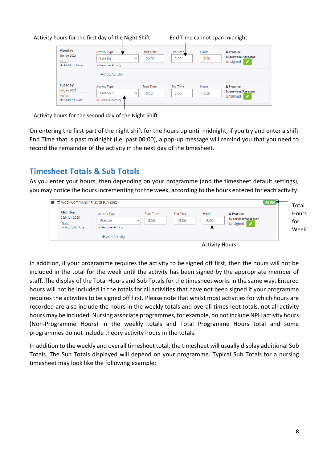#### Activity hours for the first day of the Night Shift

| <b>Monday</b><br>4th Jan 2021<br>Note:<br>+ Add/Edit Note  | Activity Type<br>Night Shift<br><b>*</b> Remove Activity<br>$\pm$ Add Activity | <b>Start Time</b><br>20:00<br>$\checkmark$ | End Time<br>0:00        | <b>Hours</b><br>4:00 | <b>A</b> Practice<br><b>Supervisor/Assessor</b><br>ℐ<br>Unsigned |
|------------------------------------------------------------|--------------------------------------------------------------------------------|--------------------------------------------|-------------------------|----------------------|------------------------------------------------------------------|
| <b>Tuesday</b><br>5th Jan 2021<br>Note:<br>+ Add/Edit Note | <b>Activity Type</b><br>Night Shift<br><b>*</b> Remove Activity                | <b>Start Time</b><br>$\checkmark$<br>0:00  | <b>End Time</b><br>6:00 | Hours<br>6:00        | <b>A</b> Practice<br><b>Supervisor/Assessor</b><br>Unsigned<br>ℐ |

End Time cannot span midnight

Activity hours for the second day of the Night Shift

On entering the first part of the night shift for the hours up until midnight, if you try and enter a shift End Time that is past midnight (i.e. past 00:00), a pop-up message will remind you that you need to record the remainder of the activity in the next day of the timesheet.

### <span id="page-8-0"></span>**Timesheet Totals & Sub Totals**

As you enter your hours, then depending on your programme (and the timesheet default settings), you may notice the hours incrementing for the week, according to the hours entered for each activity.



Activity Hours

In addition, if your programme requires the activity to be signed off first, then the hours will not be included in the total for the week until the activity has been signed by the appropriate member of staff. The display of the Total Hours and Sub Totals for the timesheet works in the same way. Entered hours will not be included in the totals for all activities that have not been signed if your programme requires the activities to be signed off first. Please note that whilst most activities for which hours are recorded are also include the hours in the weekly totals and overall timesheet totals, not all activity hours may be included. Nursing associate programmes, for example, do not include NPH activity hours (Non-Programme Hours) in the weekly totals and Total Programme Hours total and some programmes do not include theory activity hours in the totals.

In addition to the weekly and overall timesheet total, the timesheet will usually display additional Sub Totals. The Sub Totals displayed will depend on your programme. Typical Sub Totals for a nursing timesheet may look like the following example: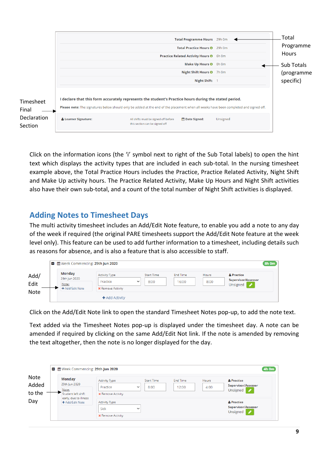|                                                            |                      | Practice Related Activity Hours <sup>0</sup> 6h 0m                                                                                                                                                                                                                                                                       | Total Programme Hours 29h 0m<br>Total Practice Hours <b>0</b> 29h 0m<br>Make Up Hours <sup>0</sup> 0h 0m<br>Night Shift Hours <sup>0</sup> 7h 0m<br>Night Shift: |          | Total<br>Programme<br><b>Hours</b><br>Sub Totals<br>(programme<br>specific) |
|------------------------------------------------------------|----------------------|--------------------------------------------------------------------------------------------------------------------------------------------------------------------------------------------------------------------------------------------------------------------------------------------------------------------------|------------------------------------------------------------------------------------------------------------------------------------------------------------------|----------|-----------------------------------------------------------------------------|
| Timesheet<br>Final<br><b>Declaration</b><br><b>Section</b> | & Learner Signature: | I declare that this form accurately represents the student's Practice hours during the stated period.<br>Please note: The signatures below should only be added at the end of the placement when all weeks have been completed and signed off.<br>All shifts must be signed off before<br>this section can be signed off | Date Signed:                                                                                                                                                     | Unsigned |                                                                             |

Click on the information icons (the 'i' symbol next to right of the Sub Total labels) to open the hint text which displays the activity types that are included in each sub-total. In the nursing timesheet example above, the Total Practice Hours includes the Practice, Practice Related Activity, Night Shift and Make Up activity hours. The Practice Related Activity, Make Up Hours and Night Shift activities also have their own sub-total, and a count of the total number of Night Shift activities is displayed.

## <span id="page-9-0"></span>**Adding Notes to Timesheet Days**

The multi activity timesheet includes an Add/Edit Note feature, to enable you add a note to any day of the week if required (the original PARE timesheets support the Add/Edit Note feature at the week level only). This feature can be used to add further information to a timesheet, including details such as reasons for absence, and is also a feature that is also accessible to staff.

| <b>Monday</b><br>29th Jun 2020<br>Note:<br>+ Add/Edit Note | <b>Activity Type</b><br>Practice<br><b>*</b> Remove Activity | $\checkmark$ | <b>Start Time</b><br>8:00 | <b>End Time</b><br>16:00 | Hours<br>8:00 | & Practice<br><b>Supervisor/Assessor</b><br>Unsigned / |
|------------------------------------------------------------|--------------------------------------------------------------|--------------|---------------------------|--------------------------|---------------|--------------------------------------------------------|
|------------------------------------------------------------|--------------------------------------------------------------|--------------|---------------------------|--------------------------|---------------|--------------------------------------------------------|

Click on the Add/Edit Note link to open the standard Timesheet Notes pop-up, to add the note text.

Text added via the Timesheet Notes pop-up is displayed under the timesheet day. A note can be amended if required by clicking on the same Add/Edit Not link. If the note is amended by removing the text altogether, then the note is no longer displayed for the day.

| ■ 簡 Week Commencing: 29th Jun 2020                            |                                                                                 |                           |                          |               |                                                                                  |
|---------------------------------------------------------------|---------------------------------------------------------------------------------|---------------------------|--------------------------|---------------|----------------------------------------------------------------------------------|
| <b>Monday</b><br>29th Jun 2020<br>Note:<br>Student left shift | <b>Activity Type</b><br>Practice<br>$\checkmark$<br><b>*</b> Remove Activity    | <b>Start Time</b><br>8:00 | <b>End Time</b><br>12:00 | Hours<br>4:00 | & Practice<br><b>Supervisor/Assessor</b><br>Unsigned<br>v                        |
| early, due to illness<br>+ Add/Edit Note                      | <b>Activity Type</b><br><b>Sick</b><br>$\checkmark$<br><b>*</b> Remove Activity |                           |                          |               | & Practice<br><b>Supervisor/Assessor</b><br>Unsigned<br>$\overline{\mathscr{L}}$ |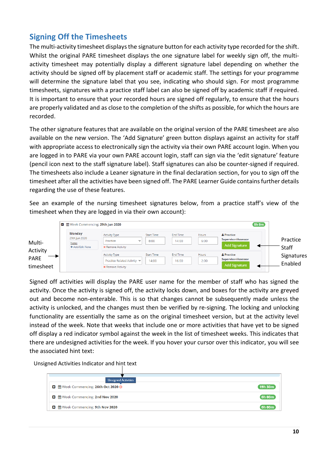## <span id="page-10-0"></span>**Signing Off the Timesheets**

The multi-activity timesheet displays the signature button for each activity type recorded for the shift. Whilst the original PARE timesheet displays the one signature label for weekly sign off, the multiactivity timesheet may potentially display a different signature label depending on whether the activity should be signed off by placement staff or academic staff. The settings for your programme will determine the signature label that you see, indicating who should sign. For most programme timesheets, signatures with a practice staff label can also be signed off by academic staff if required. It is important to ensure that your recorded hours are signed off regularly, to ensure that the hours are properly validated and as close to the completion of the shifts as possible, for which the hours are recorded.

The other signature features that are available on the original version of the PARE timesheet are also available on the new version. The 'Add Signature' green button displays against an activity for staff with appropriate access to electronically sign the activity via their own PARE account login. When you are logged in to PARE via your own PARE account login, staff can sign via the 'edit signature' feature (pencil icon next to the staff signature label). Staff signatures can also be counter-signed if required. The timesheets also include a Leaner signature in the final declaration section, for you to sign off the timesheet after all the activities have been signed off. The PARE Learner Guide contains further details regarding the use of these features.

See an example of the nursing timesheet signatures below, from a practice staff's view of the timesheet when they are logged in via their own account):



Signed off activities will display the PARE user name for the member of staff who has signed the activity. Once the activity is signed off, the activity locks down, and boxes for the activity are greyed out and become non-enterable. This is so that changes cannot be subsequently made unless the activity is unlocked, and the changes must then be verified by re-signing. The locking and unlocking functionality are essentially the same as on the original timesheet version, but at the activity level instead of the week. Note that weeks that include one or more activities that have yet to be signed off display a red indicator symbol against the week in the list of timesheet weeks. This indicates that there are undesigned activities for the week. If you hover your cursor over this indicator, you will see the associated hint text:

Unsigned Activities Indicator and hint text

| <b>Unsigned Activities</b>                  |         |
|---------------------------------------------|---------|
| <b>■ 普</b> Week Commencing: 26th Oct 2020 ● | 19h 30m |
|                                             | Oh 00m  |
| <b>□</b> @ Week Commencing: 9th Nov 2020    | Oh 00m  |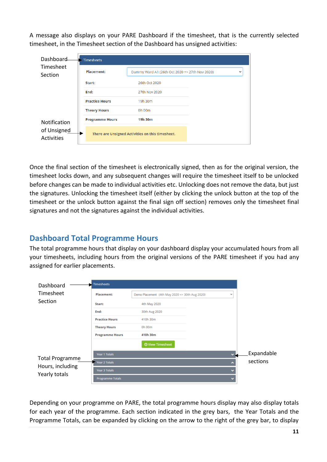A message also displays on your PARE Dashboard if the timesheet, that is the currently selected timesheet, in the Timesheet section of the Dashboard has unsigned activities:

| Dashboard                                        | <b>Timesheets</b>      |                                                  |              |  |  |  |
|--------------------------------------------------|------------------------|--------------------------------------------------|--------------|--|--|--|
| Timesheet<br>Section                             | Placement:             | Dummy Ward A1 (26th Oct 2020 => 27th Nov 2020)   | $\checkmark$ |  |  |  |
| <b>Notification</b><br>of Unsigned<br>Activities | Start:                 | 26th Oct 2020                                    |              |  |  |  |
|                                                  | End:                   | 27th Nov 2020                                    |              |  |  |  |
|                                                  | <b>Practice Hours</b>  | 19h 30m                                          |              |  |  |  |
|                                                  | <b>Theory Hours</b>    | 0h 00m                                           |              |  |  |  |
|                                                  | <b>Programme Hours</b> | 19h 30m                                          |              |  |  |  |
|                                                  |                        | There are Unsigned Activities on this timesheet. |              |  |  |  |

Once the final section of the timesheet is electronically signed, then as for the original version, the timesheet locks down, and any subsequent changes will require the timesheet itself to be unlocked before changes can be made to individual activities etc. Unlocking does not remove the data, but just the signatures. Unlocking the timesheet itself (either by clicking the unlock button at the top of the timesheet or the unlock button against the final sign off section) removes only the timesheet final signatures and not the signatures against the individual activities.

## <span id="page-11-0"></span>**Dashboard Total Programme Hours**

The total programme hours that display on your dashboard display your accumulated hours from all your timesheets, including hours from the original versions of the PARE timesheet if you had any assigned for earlier placements.

| Dashboard                                                   | Timesheets              |                                                     |  |                          |            |
|-------------------------------------------------------------|-------------------------|-----------------------------------------------------|--|--------------------------|------------|
| Timesheet<br>Section                                        | Placement:              | Demo Placement (4th May 2020 => 30th Aug 2020)<br>v |  |                          |            |
|                                                             | Start:                  | 4th May 2020                                        |  |                          |            |
|                                                             | End:                    | 30th Aug 2020                                       |  |                          |            |
|                                                             | <b>Practice Hours</b>   | 410h 30m                                            |  |                          |            |
|                                                             | <b>Theory Hours</b>     | 0h 00m                                              |  |                          |            |
|                                                             | <b>Programme Hours</b>  | 410h 30m                                            |  |                          |            |
|                                                             |                         | <b>O</b> View Timesheet                             |  |                          |            |
| <b>Total Programme</b><br>Hours, including<br>Yearly totals | Year 1 Totals           |                                                     |  | ÷                        | Expandable |
|                                                             | Year 2 Totals           |                                                     |  | A                        | sections   |
|                                                             | Year 3 Totals           |                                                     |  | $\checkmark$             |            |
|                                                             | <b>Programme Totals</b> |                                                     |  | $\overline{\phantom{a}}$ |            |

Depending on your programme on PARE, the total programme hours display may also display totals for each year of the programme. Each section indicated in the grey bars, the Year Totals and the Programme Totals, can be expanded by clicking on the arrow to the right of the grey bar, to display